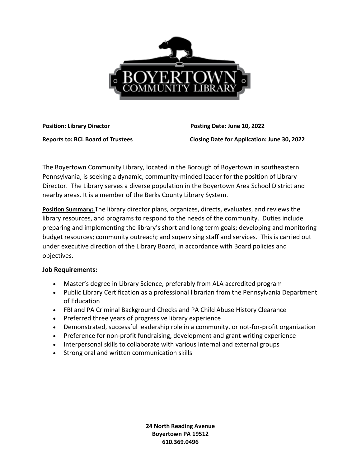

**Position: Library Director Community Posting Date: June 10, 2022** 

**Reports to: BCL Board of Trustees Closing Date for Application: June 30, 2022**

The Boyertown Community Library, located in the Borough of Boyertown in southeastern Pennsylvania, is seeking a dynamic, community-minded leader for the position of Library Director. The Library serves a diverse population in the Boyertown Area School District and nearby areas. It is a member of the Berks County Library System.

**Position Summary:** The library director plans, organizes, directs, evaluates, and reviews the library resources, and programs to respond to the needs of the community. Duties include preparing and implementing the library's short and long term goals; developing and monitoring budget resources; community outreach; and supervising staff and services. This is carried out under executive direction of the Library Board, in accordance with Board policies and objectives.

## **Job Requirements:**

- Master's degree in Library Science, preferably from ALA accredited program
- Public Library Certification as a professional librarian from the Pennsylvania Department of Education
- FBI and PA Criminal Background Checks and PA Child Abuse History Clearance
- Preferred three years of progressive library experience
- Demonstrated, successful leadership role in a community, or not-for-profit organization
- Preference for non-profit fundraising, development and grant writing experience
- Interpersonal skills to collaborate with various internal and external groups
- Strong oral and written communication skills

**24 North Reading Avenue Boyertown PA 19512 610.369.0496**